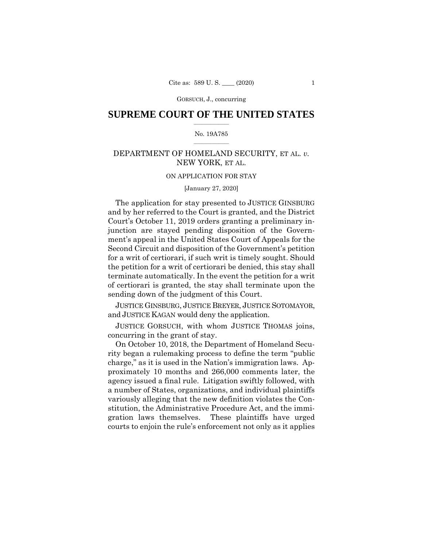### $\frac{1}{2}$  ,  $\frac{1}{2}$  ,  $\frac{1}{2}$  ,  $\frac{1}{2}$  ,  $\frac{1}{2}$  ,  $\frac{1}{2}$  ,  $\frac{1}{2}$ **SUPREME COURT OF THE UNITED STATES**

### $\frac{1}{2}$  ,  $\frac{1}{2}$  ,  $\frac{1}{2}$  ,  $\frac{1}{2}$  ,  $\frac{1}{2}$  ,  $\frac{1}{2}$ No. 19A785

# DEPARTMENT OF HOMELAND SECURITY, ET AL. *v.*  NEW YORK, ET AL.

### ON APPLICATION FOR STAY

### [January 27, 2020]

The application for stay presented to JUSTICE GINSBURG and by her referred to the Court is granted, and the District Court's October 11, 2019 orders granting a preliminary injunction are stayed pending disposition of the Government's appeal in the United States Court of Appeals for the Second Circuit and disposition of the Government's petition for a writ of certiorari, if such writ is timely sought. Should the petition for a writ of certiorari be denied, this stay shall terminate automatically. In the event the petition for a writ of certiorari is granted, the stay shall terminate upon the sending down of the judgment of this Court.

JUSTICE GINSBURG, JUSTICE BREYER, JUSTICE SOTOMAYOR, and JUSTICE KAGAN would deny the application.

JUSTICE GORSUCH, with whom JUSTICE THOMAS joins, concurring in the grant of stay.

On October 10, 2018, the Department of Homeland Security began a rulemaking process to define the term "public charge," as it is used in the Nation's immigration laws. Approximately 10 months and 266,000 comments later, the agency issued a final rule. Litigation swiftly followed, with a number of States, organizations, and individual plaintiffs variously alleging that the new definition violates the Constitution, the Administrative Procedure Act, and the immigration laws themselves. These plaintiffs have urged courts to enjoin the rule's enforcement not only as it applies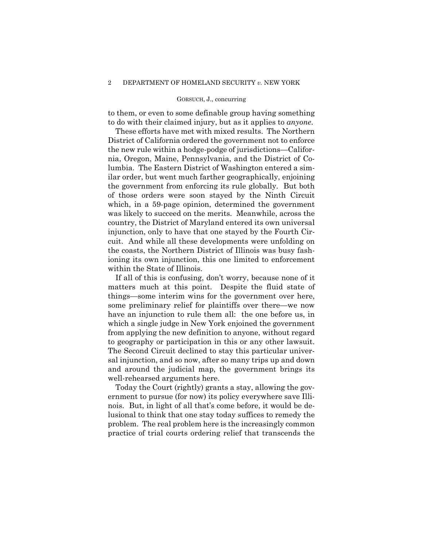to them, or even to some definable group having something to do with their claimed injury, but as it applies to *anyone*.

These efforts have met with mixed results. The Northern District of California ordered the government not to enforce the new rule within a hodge-podge of jurisdictions—California, Oregon, Maine, Pennsylvania, and the District of Columbia. The Eastern District of Washington entered a similar order, but went much farther geographically, enjoining the government from enforcing its rule globally. But both of those orders were soon stayed by the Ninth Circuit which, in a 59-page opinion, determined the government was likely to succeed on the merits. Meanwhile, across the country, the District of Maryland entered its own universal injunction, only to have that one stayed by the Fourth Circuit. And while all these developments were unfolding on the coasts, the Northern District of Illinois was busy fashioning its own injunction, this one limited to enforcement within the State of Illinois.

If all of this is confusing, don't worry, because none of it matters much at this point. Despite the fluid state of things—some interim wins for the government over here, some preliminary relief for plaintiffs over there—we now have an injunction to rule them all: the one before us, in which a single judge in New York enjoined the government from applying the new definition to anyone, without regard to geography or participation in this or any other lawsuit. The Second Circuit declined to stay this particular universal injunction, and so now, after so many trips up and down and around the judicial map, the government brings its well-rehearsed arguments here.

Today the Court (rightly) grants a stay, allowing the government to pursue (for now) its policy everywhere save Illinois. But, in light of all that's come before, it would be delusional to think that one stay today suffices to remedy the problem. The real problem here is the increasingly common practice of trial courts ordering relief that transcends the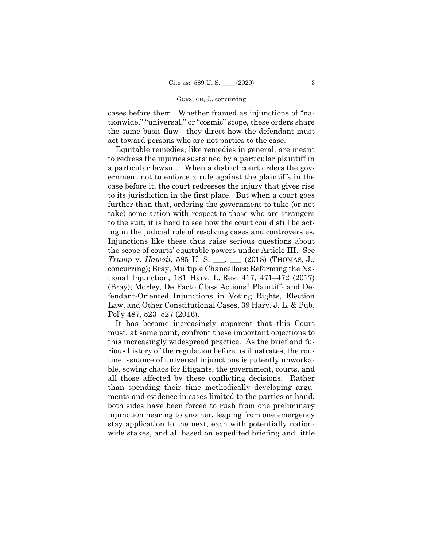cases before them. Whether framed as injunctions of "nationwide," "universal," or "cosmic" scope, these orders share the same basic flaw—they direct how the defendant must act toward persons who are not parties to the case.

Equitable remedies, like remedies in general, are meant to redress the injuries sustained by a particular plaintiff in a particular lawsuit. When a district court orders the government not to enforce a rule against the plaintiffs in the case before it, the court redresses the injury that gives rise to its jurisdiction in the first place. But when a court goes further than that, ordering the government to take (or not take) some action with respect to those who are strangers to the suit, it is hard to see how the court could still be acting in the judicial role of resolving cases and controversies. Injunctions like these thus raise serious questions about the scope of courts' equitable powers under Article III. See *Trump* v. *Hawaii*, 585 U. S. \_\_\_, \_\_\_ (2018) (THOMAS, J., concurring); Bray, Multiple Chancellors: Reforming the National Injunction, 131 Harv. L. Rev. 417, 471–472 (2017) (Bray); Morley, De Facto Class Actions? Plaintiff- and Defendant-Oriented Injunctions in Voting Rights, Election Law, and Other Constitutional Cases, 39 Harv. J. L. & Pub. Pol'y 487, 523–527 (2016).

It has become increasingly apparent that this Court must, at some point, confront these important objections to this increasingly widespread practice. As the brief and furious history of the regulation before us illustrates, the routine issuance of universal injunctions is patently unworkable, sowing chaos for litigants, the government, courts, and all those affected by these conflicting decisions. Rather than spending their time methodically developing arguments and evidence in cases limited to the parties at hand, both sides have been forced to rush from one preliminary injunction hearing to another, leaping from one emergency stay application to the next, each with potentially nationwide stakes, and all based on expedited briefing and little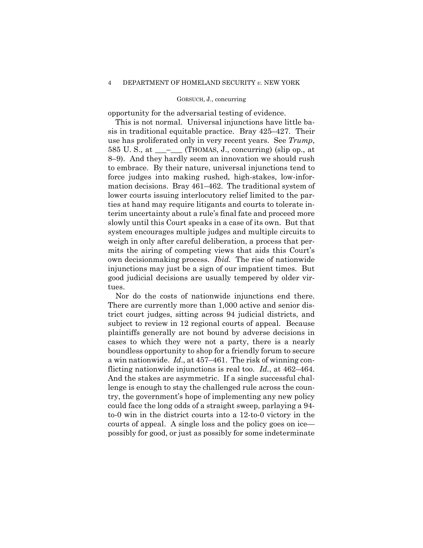opportunity for the adversarial testing of evidence.

 own decisionmaking process. *Ibid.* The rise of nationwide This is not normal. Universal injunctions have little basis in traditional equitable practice. Bray 425–427. Their use has proliferated only in very recent years. See *Trump*, 585 U.S., at  $\_\_\_\_\$  (THOMAS, J., concurring) (slip op., at 8–9). And they hardly seem an innovation we should rush to embrace. By their nature, universal injunctions tend to force judges into making rushed, high-stakes, low-information decisions. Bray 461–462. The traditional system of lower courts issuing interlocutory relief limited to the parties at hand may require litigants and courts to tolerate interim uncertainty about a rule's final fate and proceed more slowly until this Court speaks in a case of its own. But that system encourages multiple judges and multiple circuits to weigh in only after careful deliberation, a process that permits the airing of competing views that aids this Court's injunctions may just be a sign of our impatient times. But good judicial decisions are usually tempered by older virtues.

Nor do the costs of nationwide injunctions end there. There are currently more than 1,000 active and senior district court judges, sitting across 94 judicial districts, and subject to review in 12 regional courts of appeal. Because plaintiffs generally are not bound by adverse decisions in cases to which they were not a party, there is a nearly boundless opportunity to shop for a friendly forum to secure a win nationwide. *Id*., at 457–461. The risk of winning conflicting nationwide injunctions is real too. *Id.*, at 462–464. And the stakes are asymmetric. If a single successful challenge is enough to stay the challenged rule across the country, the government's hope of implementing any new policy could face the long odds of a straight sweep, parlaying a 94 to-0 win in the district courts into a 12-to-0 victory in the courts of appeal. A single loss and the policy goes on ice possibly for good, or just as possibly for some indeterminate